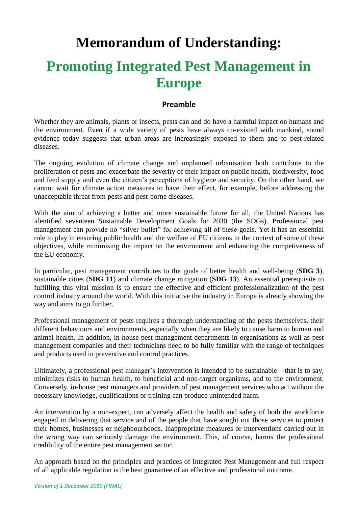# **Memorandum of Understanding:**

# **Promoting Integrated Pest Management in Europe**

#### **Preamble**

Whether they are animals, plants or insects, pests can and do have a harmful impact on humans and the environment. Even if a wide variety of pests have always co-existed with mankind, sound evidence today suggests that urban areas are increasingly exposed to them and to pest-related diseases.

The ongoing evolution of climate change and unplanned urbanisation both contribute to the proliferation of pests and exacerbate the severity of their impact on public health, biodiversity, food and feed supply and even the citizen's perceptions of hygiene and security. On the other hand, we cannot wait for climate action measures to have their effect, for example, before addressing the unacceptable threat from pests and pest-borne diseases.

With the aim of achieving a better and more sustainable future for all, the United Nations has identified seventeen Sustainable Development Goals for 2030 (the SDGs). Professional pest management can provide no "silver bullet" for achieving all of these goals. Yet it has an essential role to play in ensuring public health and the welfare of EU citizens in the context of some of these objectives, while minimising the impact on the environment and enhancing the competiveness of the EU economy.

In particular, pest management contributes to the goals of better health and well-being (**SDG 3**), sustainable cities (**SDG 11**) and climate change mitigation (**SDG 13**). An essential prerequisite to fulfilling this vital mission is to ensure the effective and efficient professionalization of the pest control industry around the world. With this initiative the industry in Europe is already showing the way and aims to go further.

Professional management of pests requires a thorough understanding of the pests themselves, their different behaviours and environments, especially when they are likely to cause harm to human and animal health. In addition, in-house pest management departments in organisations as well as pest management companies and their technicians need to be fully familiar with the range of techniques and products used in preventive and control practices.

Ultimately, a professional pest manager's intervention is intended to be sustainable – that is to say, minimizes risks to human health, to beneficial and non-target organisms, and to the environment. Conversely, in-house pest managers and providers of pest management services who act without the necessary knowledge, qualifications or training can produce unintended harm.

An intervention by a non-expert, can adversely affect the health and safety of both the workforce engaged in delivering that service and of the people that have sought out those services to protect their homes, businesses or neighbourhoods. Inappropriate measures or interventions carried out in the wrong way can seriously damage the environment. This, of course, harms the professional credibility of the entire pest management sector.

An approach based on the principles and practices of Integrated Pest Management and full respect of all applicable regulation is the best guarantee of an effective and professional outcome.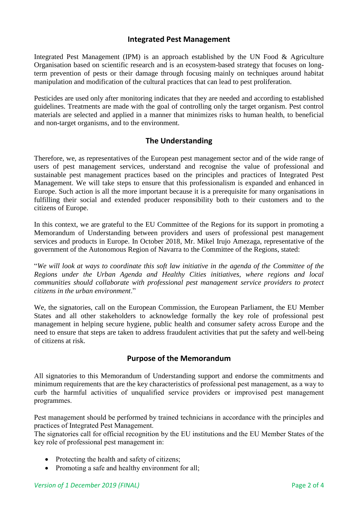### **Integrated Pest Management**

Integrated Pest Management (IPM) is an approach established by the UN Food & Agriculture Organisation based on scientific research and is an ecosystem-based strategy that focuses on longterm prevention of pests or their damage through focusing mainly on techniques around habitat manipulation and modification of the cultural practices that can lead to pest proliferation.

Pesticides are used only after monitoring indicates that they are needed and according to established guidelines. Treatments are made with the goal of controlling only the target organism. Pest control materials are selected and applied in a manner that minimizes risks to human health, to beneficial and non-target organisms, and to the environment.

### **The Understanding**

Therefore, we, as representatives of the European pest management sector and of the wide range of users of pest management services, understand and recognise the value of professional and sustainable pest management practices based on the principles and practices of Integrated Pest Management. We will take steps to ensure that this professionalism is expanded and enhanced in Europe. Such action is all the more important because it is a prerequisite for many organisations in fulfilling their social and extended producer responsibility both to their customers and to the citizens of Europe.

In this context, we are grateful to the EU Committee of the Regions for its support in promoting a Memorandum of Understanding between providers and users of professional pest management services and products in Europe. In October 2018, Mr. Mikel Irujo Amezaga, representative of the government of the Autonomous Region of Navarra to the Committee of the Regions, stated:

"*We will look at ways to coordinate this soft law initiative in the agenda of the Committee of the Regions under the Urban Agenda and Healthy Cities initiatives, where regions and local communities should collaborate with professional pest management service providers to protect citizens in the urban environment*."

We, the signatories, call on the European Commission, the European Parliament, the EU Member States and all other stakeholders to acknowledge formally the key role of professional pest management in helping secure hygiene, public health and consumer safety across Europe and the need to ensure that steps are taken to address fraudulent activities that put the safety and well-being of citizens at risk.

### **Purpose of the Memorandum**

All signatories to this Memorandum of Understanding support and endorse the commitments and minimum requirements that are the key characteristics of professional pest management, as a way to curb the harmful activities of unqualified service providers or improvised pest management programmes.

Pest management should be performed by trained technicians in accordance with the principles and practices of Integrated Pest Management.

The signatories call for official recognition by the EU institutions and the EU Member States of the key role of professional pest management in:

- Protecting the health and safety of citizens;
- Promoting a safe and healthy environment for all;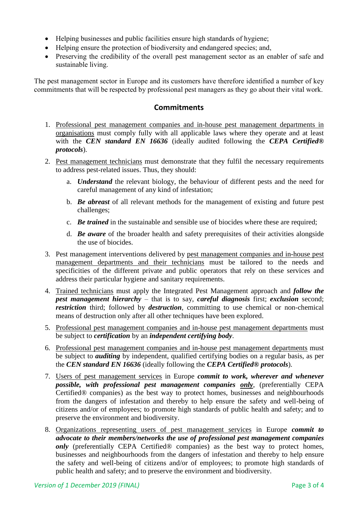- Helping businesses and public facilities ensure high standards of hygiene;
- Helping ensure the protection of biodiversity and endangered species; and,
- Preserving the credibility of the overall pest management sector as an enabler of safe and sustainable living.

The pest management sector in Europe and its customers have therefore identified a number of key commitments that will be respected by professional pest managers as they go about their vital work.

#### **Commitments**

- 1. Professional pest management companies and in-house pest management departments in organisations must comply fully with all applicable laws where they operate and at least with the *CEN standard EN 16636* (ideally audited following the *CEPA Certified® protocols*).
- 2. Pest management technicians must demonstrate that they fulfil the necessary requirements to address pest-related issues. Thus, they should:
	- a. *Understand* the relevant biology, the behaviour of different pests and the need for careful management of any kind of infestation;
	- b. *Be abreast* of all relevant methods for the management of existing and future pest challenges;
	- c. *Be trained* in the sustainable and sensible use of biocides where these are required;
	- d. *Be aware* of the broader health and safety prerequisites of their activities alongside the use of biocides.
- 3. Pest management interventions delivered by pest management companies and in-house pest management departments and their technicians must be tailored to the needs and specificities of the different private and public operators that rely on these services and address their particular hygiene and sanitary requirements.
- 4. Trained technicians must apply the Integrated Pest Management approach and *follow the pest management hierarchy* – that is to say, *careful diagnosis* first; *exclusion* second; *restriction* third; followed by *destruction*, committing to use chemical or non-chemical means of destruction only after all other techniques have been explored.
- 5. Professional pest management companies and in-house pest management departments must be subject to *certification* by an *independent certifying body*.
- 6. Professional pest management companies and in-house pest management departments must be subject to *auditing* by independent, qualified certifying bodies on a regular basis, as per the *CEN standard EN 16636* (ideally following the *CEPA Certified® protocols*).
- 7. Users of pest management services in Europe *commit to work, wherever and whenever possible, with professional pest management companies only*, (preferentially CEPA Certified® companies) as the best way to protect homes, businesses and neighbourhoods from the dangers of infestation and thereby to help ensure the safety and well-being of citizens and/or of employees; to promote high standards of public health and safety; and to preserve the environment and biodiversity.
- 8. Organizations representing users of pest management services in Europe *commit to advocate to their members/networks the use of professional pest management companies only* (preferentially CEPA Certified® companies) as the best way to protect homes, businesses and neighbourhoods from the dangers of infestation and thereby to help ensure the safety and well-being of citizens and/or of employees; to promote high standards of public health and safety; and to preserve the environment and biodiversity.